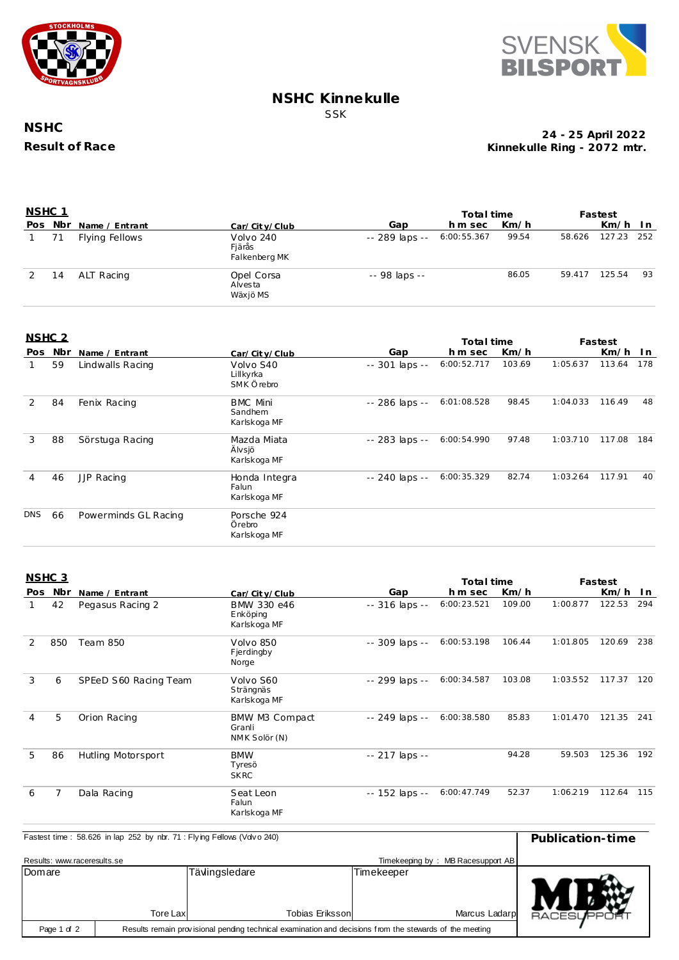



#### **NSHC Kinnekulle** SSK

## **NSHC Result of Race**

#### **Kinnekulle Ring - 2072 mtr. 24 - 25 April 2022**

| <u>NSHC 1</u> |         |                |                                      | Total time     |             |       | Fastest |            |    |
|---------------|---------|----------------|--------------------------------------|----------------|-------------|-------|---------|------------|----|
|               | Pos Nbr | Name / Entrant | Car/City/Club                        | Gap            | hm sec      | Km/h  |         | $Km/h$ In  |    |
|               | 71      | Flying Fellows | Volvo 240<br>Fjärås<br>Falkenberg MK | -- 289 laps -- | 6:00:55.367 | 99.54 | 58.626  | 127.23 252 |    |
|               | 14      | ALT Racing     | Opel Corsa<br>Alvesta<br>Wäxjö MS    | -- 98 laps --  |             | 86.05 | 59.417  | 125.54     | 93 |

### **NSHC 2**

| NSHC <sub>2</sub> |     |                      |                                            |                 | Total time  |        |          | Fastest |     |
|-------------------|-----|----------------------|--------------------------------------------|-----------------|-------------|--------|----------|---------|-----|
| Pos               | Nbr | Name / Entrant       | Car/City/Club                              | Gap             | h m sec     | Km/h   |          | Km/h    | In. |
|                   | 59  | Lindwalls Racing     | Volvo S40<br>Lillkyrka<br>SMK Örebro       | $-301$ laps $-$ | 6:00:52.717 | 103.69 | 1:05.637 | 113.64  | 178 |
| 2                 | 84  | Fenix Racing         | <b>BMC Mini</b><br>Sandhem<br>Karlskoga MF | -- 286 laps --  | 6:01:08.528 | 98.45  | 1:04.033 | 116.49  | 48  |
| 3                 | 88  | Sörstuga Racing      | Mazda Miata<br>Älvsjö<br>Karlskoga MF      | -- 283 laps --  | 6:00:54.990 | 97.48  | 1:03.710 | 117.08  | 184 |
| 4                 | 46  | JJP Racing           | Honda Integra<br>Falun<br>Karlskoga MF     | -- 240 laps --  | 6:00:35.329 | 82.74  | 1:03.264 | 117.91  | 40  |
| <b>DNS</b>        | 66  | Powerminds GL Racing | Porsche 924<br>Örebro<br>Karlskoga MF      |                 |             |        |          |         |     |

#### **NSHC 3**

|     | <u>uu uu</u>   |                       |                                           |                | Total time  |        | Fastest  |        |     |
|-----|----------------|-----------------------|-------------------------------------------|----------------|-------------|--------|----------|--------|-----|
| Pos | Nbr            | Name / Entrant        | Car/City/Club                             | Gap            | h m sec     | Km/h   |          | Km/h   | In. |
|     | 42             | Pegasus Racing 2      | BMW 330 e46<br>Enköping<br>Karlskoga MF   | -- 316 laps -- | 6:00:23.521 | 109.00 | 1:00.877 | 122.53 | 294 |
| 2   | 850            | <b>Team 850</b>       | Volvo 850<br>Fjerdingby<br>Norge          | -- 309 laps -- | 6:00:53.198 | 106.44 | 1:01.805 | 120.69 | 238 |
| 3   | 6              | SPEeD S60 Racing Team | Volvo S60<br>Strängnäs<br>Karlskoga MF    | -- 299 laps -- | 6:00:34.587 | 103.08 | 1:03.552 | 117.37 | 120 |
| 4   | 5              | Orion Racing          | BMW M3 Compact<br>Granli<br>NMK Solör (N) | -- 249 laps -- | 6:00:38.580 | 85.83  | 1:01.470 | 121.35 | 241 |
| 5   | 86             | Hutling Motorsport    | <b>BMW</b><br>Tyresö<br><b>SKRC</b>       | -- 217 laps -- |             | 94.28  | 59.503   | 125.36 | 192 |
| 6   | $\overline{7}$ | Dala Racing           | Seat Leon<br>Falun<br>Karlskoga MF        | -- 152 laps -- | 6:00:47.749 | 52.37  | 1:06.219 | 112.64 | 115 |

| Fastest time: 58.626 in lap 252 by nbr. 71: Flying Fellows (Vdvo 240) | Publication-time                                                                                        |                         |            |                                   |                 |
|-----------------------------------------------------------------------|---------------------------------------------------------------------------------------------------------|-------------------------|------------|-----------------------------------|-----------------|
| Results: www.raceresults.se                                           |                                                                                                         |                         |            | Timekeeping by: MB Racesupport AB |                 |
| Domare                                                                |                                                                                                         | Tävlingsledare          | Timekeeper |                                   |                 |
|                                                                       | Tore Lax                                                                                                | <b>Tobias Erikssonl</b> |            | Marcus Ladarp                     | <b>RACESUPP</b> |
| Page 1 of 2                                                           | Results remain provisional pending technical examination and decisions from the stewards of the meeting |                         |            |                                   |                 |